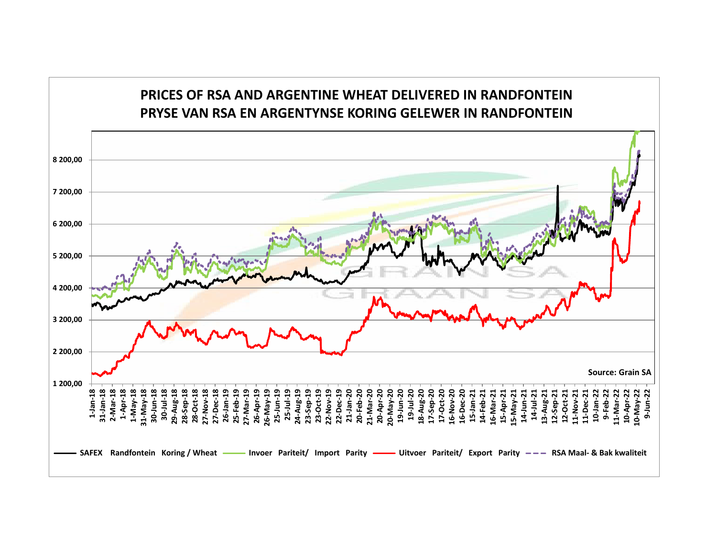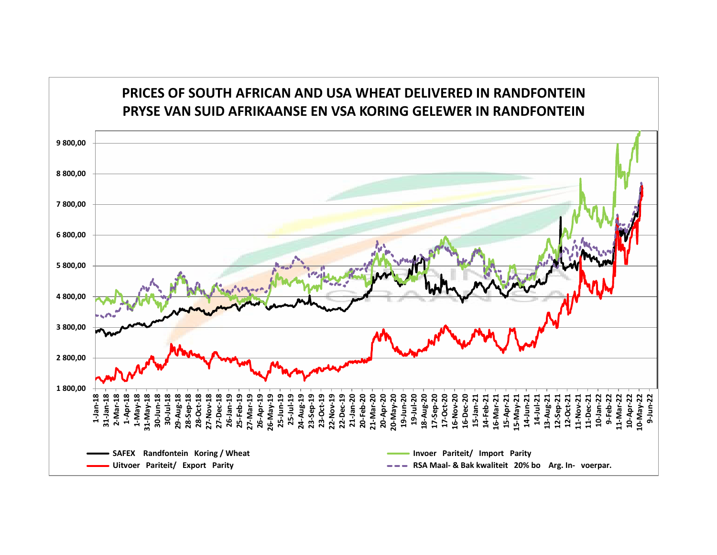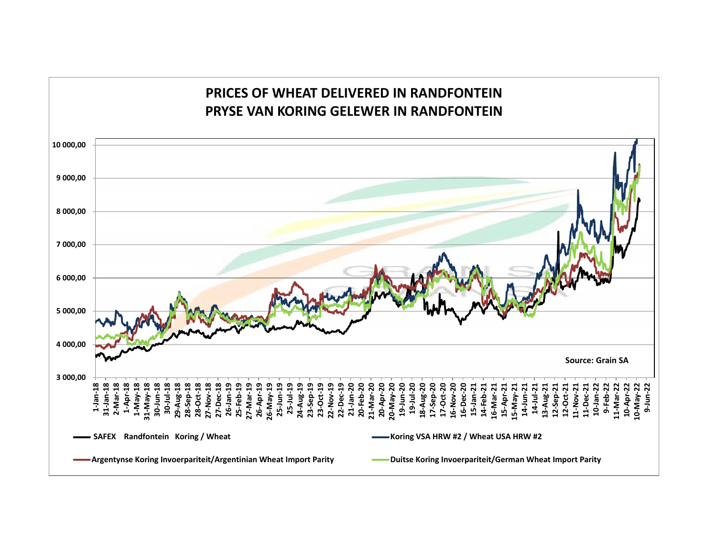# **PRICES OF WHEAT DELIVERED IN RANDFONTEINPRYSE VAN KORING GELEWER IN RANDFONTEIN**

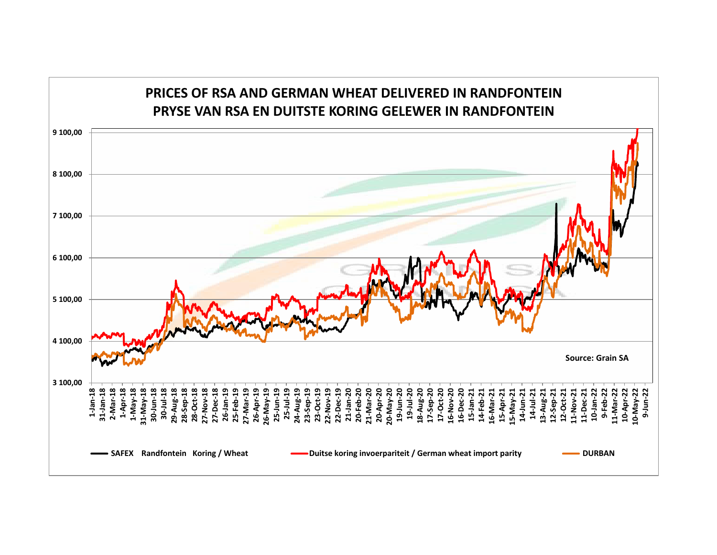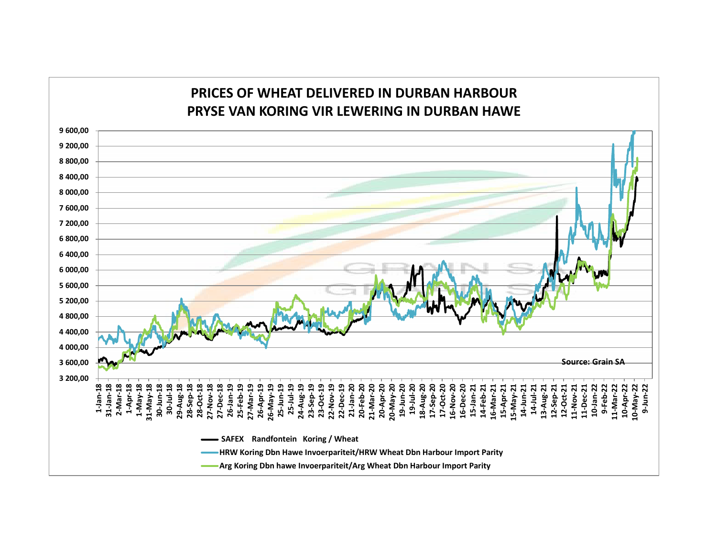## **PRICES OF WHEAT DELIVERED IN DURBAN HARBOURPRYSE VAN KORING VIR LEWERING IN DURBAN HAWE**

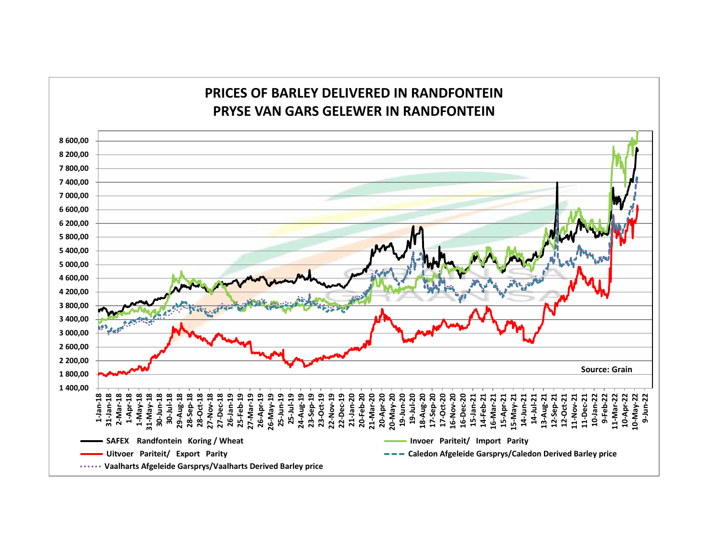## **PRICES OF BARLEY DELIVERED IN RANDFONTEINPRYSE VAN GARS GELEWER IN RANDFONTEIN**

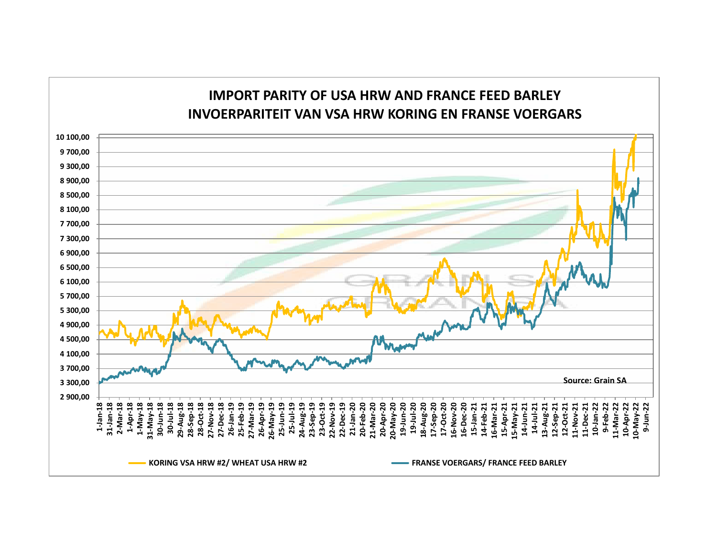## **IMPORT PARITY OF USA HRW AND FRANCE FEED BARLEYINVOERPARITEIT VAN VSA HRW KORING EN FRANSE VOERGARS**